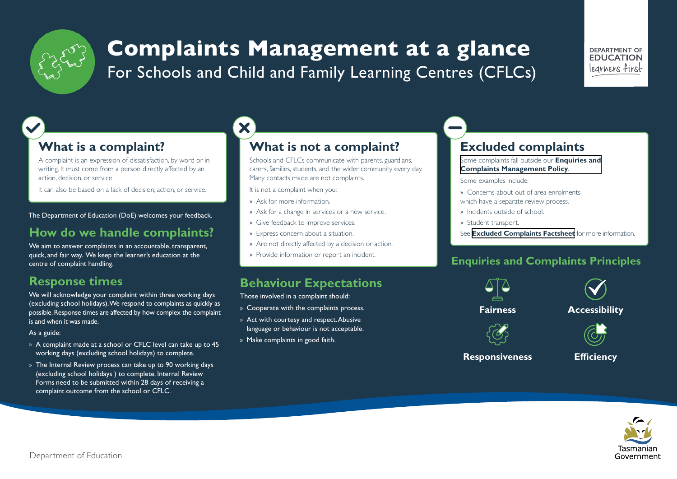

# **Complaints Management at a glance** For Schools and Child and Family Learning Centres (CFLCs)

#### DEPARTMENT OF **EDUCATION** learners first

# **What is a complaint?**

A complaint is an expression of dissatisfaction, by word or in writing. It must come from a person directly affected by an action, decision, or service.

It can also be based on a lack of decision, action, or service.

The Department of Education (DoE) welcomes your feedback.

# **How do we handle complaints?**

We aim to answer complaints in an accountable, transparent, quick, and fair way. We keep the learner's education at the centre of complaint handling.

# **Response times**

We will acknowledge your complaint within three working days (excluding school holidays). We respond to complaints as quickly as possible. Response times are affected by how complex the complaint is and when it was made.

#### As a guide:

- » A complaint made at a school or CFLC level can take up to 45 working days (excluding school holidays) to complete.
- » The Internal Review process can take up to 90 working days (excluding school holidays ) to complete. Internal Review Forms need to be submitted within 28 days of receiving a complaint outcome from the school or CFLC.

# X **What is not a complaint?**

Schools and CFLCs communicate with parents, guardians, carers, families, students, and the wider community every day. Many contacts made are not complaints.

It is not a complaint when you:

- » Ask for more information.
- » Ask for a change in services or a new service.
- » Give feedback to improve services.
- » Express concern about a situation.
- » Are not directly affected by a decision or action.
- » Provide information or report an incident.

## **Behaviour Expectations**

Those involved in a complaint should:

- » Cooperate with the complaints process.
- » Act with courtesy and respect. Abusive language or behaviour is not acceptable.
- » Make complaints in good faith.

# **Excluded complaints**

#### Some complaints fall outside our **Enquiries and [Complaints Management Policy](https://publicdocumentcentre.education.tas.gov.au/library/Document%20Centre/Enquiries-and-Complaints-Management-Policy.pdf)**.

Some examples include:

- » Concerns about out of area enrolments, which have a separate review process.
- » Incidents outside of school.
- » Student transport.

See **[Excluded Complaints Factsheet](https://publicdocumentcentre.education.tas.gov.au/library/Shared%20Documents/Excluded-Complaints-Factsheet.pdf)** for more information.

### **Enquiries and Complaints Principles**



**Responsiveness Efficiency**